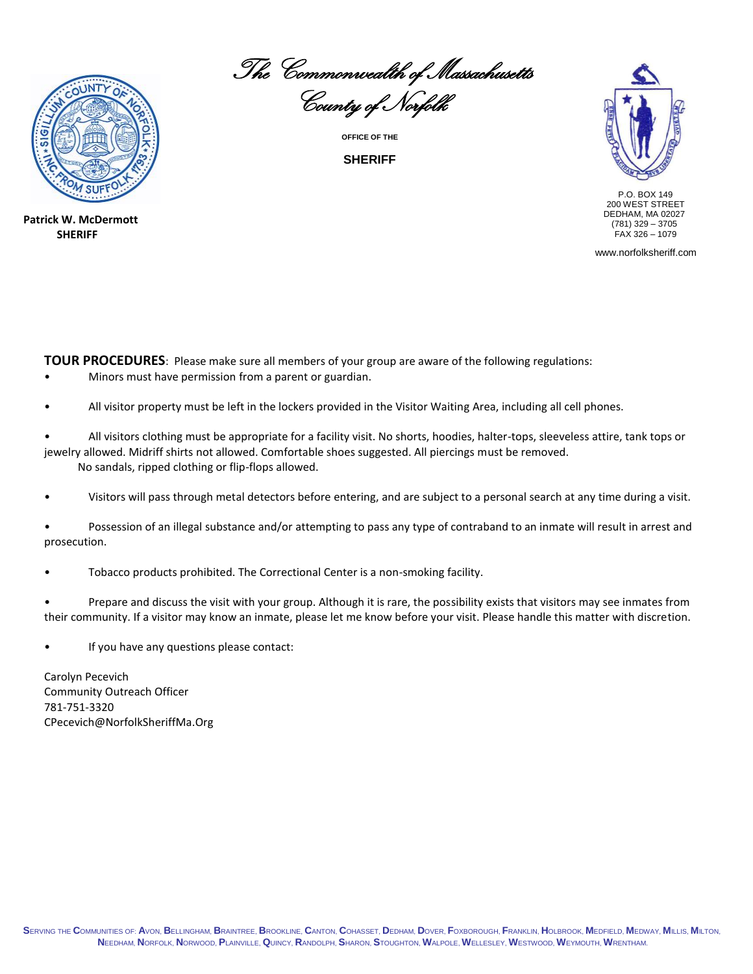

**Patrick W. McDermott SHERIFF**

The Commonwealth of Massachusetts

County of Norfolk **OFFICE OF THE**

**SHERIFF**



 P.O. BOX 149 200 WEST STREET DEDHAM, MA 02027 (781) 329 – 3705  $FAX$  326 - 1079

www.norfolksheriff.com

**TOUR PROCEDURES**: Please make sure all members of your group are aware of the following regulations:

- Minors must have permission from a parent or guardian.
- All visitor property must be left in the lockers provided in the Visitor Waiting Area, including all cell phones.
- All visitors clothing must be appropriate for a facility visit. No shorts, hoodies, halter-tops, sleeveless attire, tank tops or jewelry allowed. Midriff shirts not allowed. Comfortable shoes suggested. All piercings must be removed. No sandals, ripped clothing or flip-flops allowed.
- Visitors will pass through metal detectors before entering, and are subject to a personal search at any time during a visit.
- Possession of an illegal substance and/or attempting to pass any type of contraband to an inmate will result in arrest and prosecution.
- Tobacco products prohibited. The Correctional Center is a non-smoking facility.
- Prepare and discuss the visit with your group. Although it is rare, the possibility exists that visitors may see inmates from their community. If a visitor may know an inmate, please let me know before your visit. Please handle this matter with discretion.
- If you have any questions please contact:

Carolyn Pecevich Community Outreach Officer 781-751-3320 CPecevich@NorfolkSheriffMa.Org